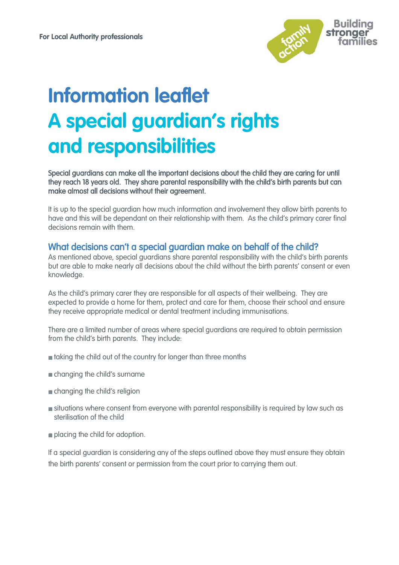

# **Information leaflet A special guardian's rights and responsibilities**

Special guardians can make all the important decisions about the child they are caring for until they reach 18 years old. They share parental responsibility with the child's birth parents but can make almost all decisions without their agreement.

It is up to the special guardian how much information and involvement they allow birth parents to have and this will be dependant on their relationship with them. As the child's primary carer final decisions remain with them.

### What decisions can't a special guardian make on behalf of the child?

As mentioned above, special guardians share parental responsibility with the child's birth parents but are able to make nearly all decisions about the child without the birth parents' consent or even knowledge.

As the child's primary carer they are responsible for all aspects of their wellbeing. They are expected to provide a home for them, protect and care for them, choose their school and ensure they receive appropriate medical or dental treatment including immunisations.

There are a limited number of areas where special guardians are required to obtain permission from the child's birth parents. They include:

- taking the child out of the country for longer than three months
- changing the child's surname
- changing the child's religion
- **situations where consent from everyone with parental responsibility is required by law such as** sterilisation of the child
- **placing the child for adoption.**

If a special guardian is considering any of the steps outlined above they must ensure they obtain the birth parents' consent or permission from the court prior to carrying them out.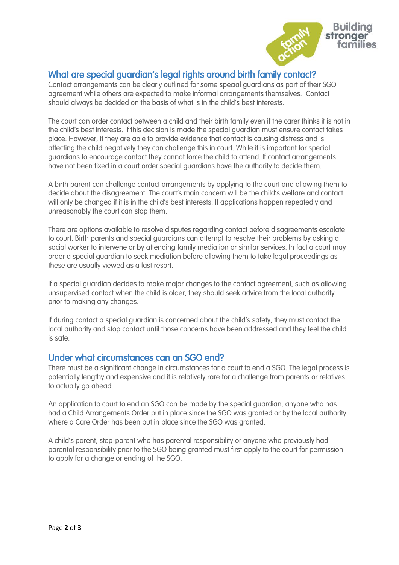

## What are special guardian's legal rights around birth family contact?

Contact arrangements can be clearly outlined for some special guardians as part of their SGO agreement while others are expected to make informal arrangements themselves. Contact should always be decided on the basis of what is in the child's best interests.

The court can order contact between a child and their birth family even if the carer thinks it is not in the child's best interests. If this decision is made the special guardian must ensure contact takes place. However, if they are able to provide evidence that contact is causing distress and is affecting the child negatively they can challenge this in court. While it is important for special guardians to encourage contact they cannot force the child to attend. If contact arrangements have not been fixed in a court order special guardians have the authority to decide them.

A birth parent can challenge contact arrangements by applying to the court and allowing them to decide about the disagreement. The court's main concern will be the child's welfare and contact will only be changed if it is in the child's best interests. If applications happen repeatedly and unreasonably the court can stop them.

There are options available to resolve disputes regarding contact before disagreements escalate to court. Birth parents and special guardians can attempt to resolve their problems by asking a social worker to intervene or by attending family mediation or similar services. In fact a court may order a special guardian to seek mediation before allowing them to take legal proceedings as these are usually viewed as a last resort.

If a special guardian decides to make major changes to the contact agreement, such as allowing unsupervised contact when the child is older, they should seek advice from the local authority prior to making any changes.

If during contact a special guardian is concerned about the child's safety, they must contact the local authority and stop contact until those concerns have been addressed and they feel the child is safe.

## Under what circumstances can an SGO end?

There must be a significant change in circumstances for a court to end a SGO. The legal process is potentially lengthy and expensive and it is relatively rare for a challenge from parents or relatives to actually go ahead.

An application to court to end an SGO can be made by the special guardian, anyone who has had a Child Arrangements Order put in place since the SGO was granted or by the local authority where a Care Order has been put in place since the SGO was granted.

A child's parent, step-parent who has parental responsibility or anyone who previously had parental responsibility prior to the SGO being granted must first apply to the court for permission to apply for a change or ending of the SGO.